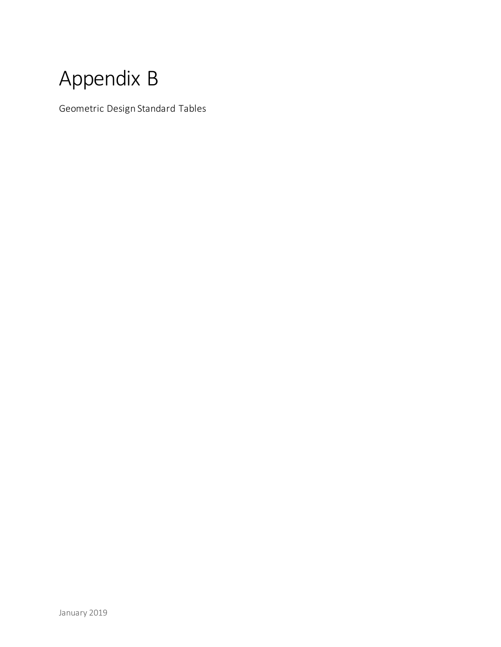## Appendix B

Geometric Design Standard Tables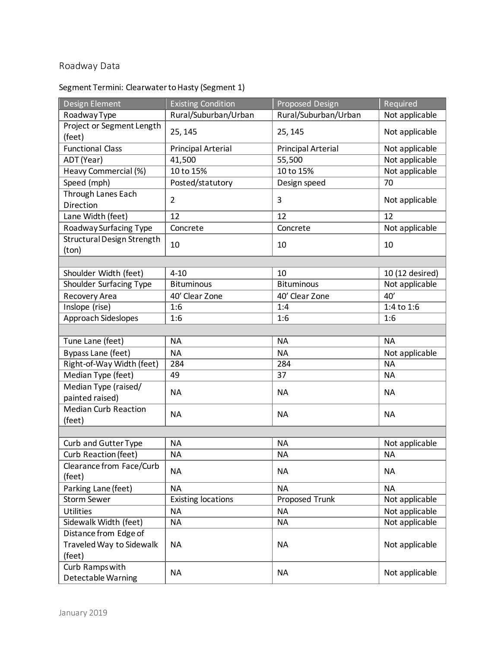## Roadway Data

## Segment Termini: Clearwater to Hasty (Segment 1)

| Design Element              | <b>Existing Condition</b> | Proposed Design           | Required        |
|-----------------------------|---------------------------|---------------------------|-----------------|
| Roadway Type                | Rural/Suburban/Urban      | Rural/Suburban/Urban      | Not applicable  |
| Project or Segment Length   |                           |                           |                 |
| (feet)                      | 25, 145                   | 25, 145                   | Not applicable  |
| <b>Functional Class</b>     | <b>Principal Arterial</b> | <b>Principal Arterial</b> | Not applicable  |
| ADT (Year)                  | 41,500                    | 55,500                    | Not applicable  |
| Heavy Commercial (%)        | 10 to 15%                 | 10 to 15%                 | Not applicable  |
| Speed (mph)                 | Posted/statutory          | Design speed              | 70              |
| Through Lanes Each          | $\overline{2}$            | $\overline{3}$            |                 |
| Direction                   |                           |                           | Not applicable  |
| Lane Width (feet)           | 12                        | 12                        | 12              |
| Roadway Surfacing Type      | Concrete                  | Concrete                  | Not applicable  |
| Structural Design Strength  | 10                        | 10                        | 10              |
| (ton)                       |                           |                           |                 |
|                             |                           |                           |                 |
| Shoulder Width (feet)       | $4 - 10$                  | 10                        | 10 (12 desired) |
| Shoulder Surfacing Type     | <b>Bituminous</b>         | <b>Bituminous</b>         | Not applicable  |
| Recovery Area               | 40' Clear Zone            | 40' Clear Zone            | 40'             |
| Inslope (rise)              | 1:6                       | 1:4                       | 1:4 to 1:6      |
| Approach Sideslopes         | 1:6                       | 1:6                       | 1:6             |
|                             |                           |                           |                 |
| Tune Lane (feet)            | <b>NA</b>                 | <b>NA</b>                 | <b>NA</b>       |
| Bypass Lane (feet)          | <b>NA</b>                 | <b>NA</b>                 | Not applicable  |
| Right-of-Way Width (feet)   | 284                       | 284                       | <b>NA</b>       |
| Median Type (feet)          | 49                        | 37                        | <b>NA</b>       |
| Median Type (raised/        | <b>NA</b>                 | <b>NA</b>                 | <b>NA</b>       |
| painted raised)             |                           |                           |                 |
| <b>Median Curb Reaction</b> | <b>NA</b>                 | <b>NA</b>                 | <b>NA</b>       |
| (feet)                      |                           |                           |                 |
|                             |                           |                           |                 |
| Curb and Gutter Type        | <b>NA</b>                 | <b>NA</b>                 | Not applicable  |
| Curb Reaction (feet)        | <b>NA</b>                 | <b>NA</b>                 | <b>NA</b>       |
| Clearance from Face/Curb    |                           |                           |                 |
| (feet)                      | <b>NA</b>                 | <b>NA</b>                 | <b>NA</b>       |
| Parking Lane (feet)         | <b>NA</b>                 | <b>NA</b>                 | <b>NA</b>       |
| <b>Storm Sewer</b>          | <b>Existing locations</b> | Proposed Trunk            | Not applicable  |
| <b>Utilities</b>            | <b>NA</b>                 | <b>NA</b>                 | Not applicable  |
| Sidewalk Width (feet)       | <b>NA</b>                 | <b>NA</b>                 | Not applicable  |
| Distance from Edge of       |                           |                           |                 |
| Traveled Way to Sidewalk    | <b>NA</b>                 | <b>NA</b>                 | Not applicable  |
| (feet)                      |                           |                           |                 |
| Curb Ramps with             | <b>NA</b>                 | <b>NA</b>                 |                 |
| Detectable Warning          |                           |                           | Not applicable  |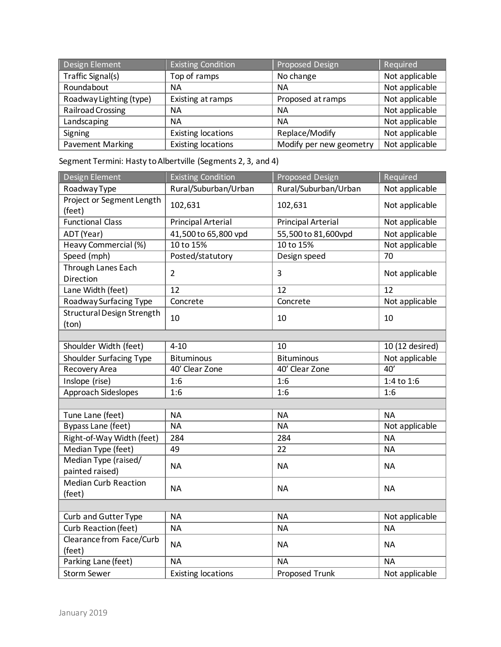| Design Element          | <b>Existing Condition</b> | <b>Proposed Design</b>  | Required       |
|-------------------------|---------------------------|-------------------------|----------------|
| Traffic Signal(s)       | Top of ramps              | No change               | Not applicable |
| Roundabout              | NА                        | <b>NA</b>               | Not applicable |
| Roadway Lighting (type) | Existing at ramps         | Proposed at ramps       | Not applicable |
| Railroad Crossing       | ΝA                        | <b>NA</b>               | Not applicable |
| Landscaping             | NА                        | <b>NA</b>               | Not applicable |
| Signing                 | <b>Existing locations</b> | Replace/Modify          | Not applicable |
| <b>Pavement Marking</b> | <b>Existing locations</b> | Modify per new geometry | Not applicable |

Segment Termini: Hasty to Albertville (Segments 2, 3, and 4)

| Design Element              | <b>Existing Condition</b> | Proposed Design           | Required        |
|-----------------------------|---------------------------|---------------------------|-----------------|
| Roadway Type                | Rural/Suburban/Urban      | Rural/Suburban/Urban      | Not applicable  |
| Project or Segment Length   | 102,631                   | 102,631                   | Not applicable  |
| (feet)                      |                           |                           |                 |
| <b>Functional Class</b>     | Principal Arterial        | <b>Principal Arterial</b> | Not applicable  |
| ADT (Year)                  | 41,500 to 65,800 vpd      | 55,500 to 81,600vpd       | Not applicable  |
| Heavy Commercial (%)        | 10 to 15%                 | 10 to 15%                 | Not applicable  |
| Speed (mph)                 | Posted/statutory          | Design speed              | 70              |
| Through Lanes Each          | $\overline{2}$            | $\overline{3}$            | Not applicable  |
| Direction                   |                           |                           |                 |
| Lane Width (feet)           | 12                        | 12                        | 12              |
| Roadway Surfacing Type      | Concrete                  | Concrete                  | Not applicable  |
| Structural Design Strength  | 10                        | 10                        | 10              |
| (ton)                       |                           |                           |                 |
|                             |                           |                           |                 |
| Shoulder Width (feet)       | $4 - 10$                  | 10                        | 10 (12 desired) |
| Shoulder Surfacing Type     | <b>Bituminous</b>         | <b>Bituminous</b>         | Not applicable  |
| Recovery Area               | 40' Clear Zone            | 40' Clear Zone            | 40'             |
| Inslope (rise)              | 1:6                       | 1:6                       | 1:4 to 1:6      |
| Approach Sideslopes         | 1:6                       | 1:6                       | 1:6             |
|                             |                           |                           |                 |
| Tune Lane (feet)            | <b>NA</b>                 | <b>NA</b>                 | <b>NA</b>       |
| <b>Bypass Lane (feet)</b>   | <b>NA</b>                 | <b>NA</b>                 | Not applicable  |
| Right-of-Way Width (feet)   | 284                       | 284                       | <b>NA</b>       |
| Median Type (feet)          | 49                        | 22                        | <b>NA</b>       |
| Median Type (raised/        |                           |                           |                 |
| painted raised)             | <b>NA</b>                 | NA.                       | ΝA              |
| <b>Median Curb Reaction</b> |                           |                           |                 |
| (feet)                      | <b>NA</b>                 | <b>NA</b>                 | <b>NA</b>       |
|                             |                           |                           |                 |
| Curb and Gutter Type        | <b>NA</b>                 | <b>NA</b>                 | Not applicable  |
| Curb Reaction (feet)        | <b>NA</b>                 | <b>NA</b>                 | <b>NA</b>       |
| Clearance from Face/Curb    |                           | <b>NA</b>                 | <b>NA</b>       |
| (feet)                      | <b>NA</b>                 |                           |                 |
| Parking Lane (feet)         | <b>NA</b>                 | <b>NA</b>                 | <b>NA</b>       |
| <b>Storm Sewer</b>          | <b>Existing locations</b> | <b>Proposed Trunk</b>     | Not applicable  |